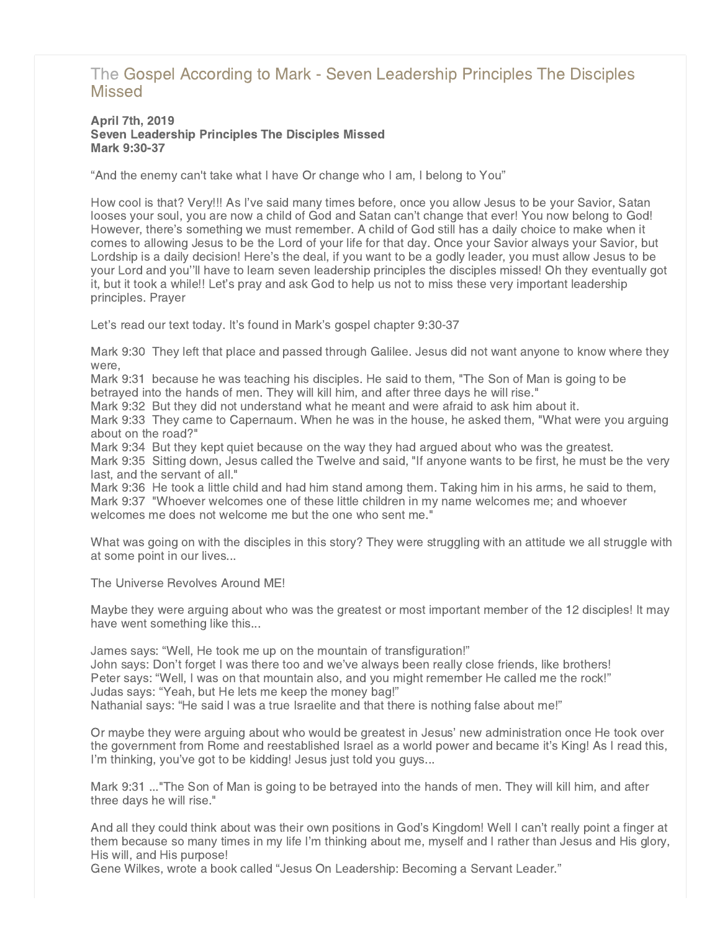# [The Gospel According to Mark - Seven Leadership Principles The Disciples](http://northshorechurch.net/resources/sermons/sermon-notes/445-the-gospel-according-to-mark-seven-leadership-principles-the-disciples-missed) **Missed**

# April 7th, 2019 Seven Leadership Principles The Disciples Missed Mark 9:30-37

"And the enemy can't take what I have Or change who I am, I belong to You"

How cool is that? Very!!! As I've said many times before, once you allow Jesus to be your Savior, Satan looses your soul, you are now a child of God and Satan can't change that ever! You now belong to God! However, there's something we must remember. A child of God still has a daily choice to make when it comes to allowing Jesus to be the Lord of your life for that day. Once your Savior always your Savior, but Lordship is a daily decision! Here's the deal, if you want to be a godly leader, you must allow Jesus to be your Lord and you''ll have to learn seven leadership principles the disciples missed! Oh they eventually got it, but it took a while!! Let's pray and ask God to help us not to miss these very important leadership principles. Prayer

Let's read our text today. It's found in Mark's gospel chapter 9:30-37

Mark 9:30 They left that place and passed through Galilee. Jesus did not want anyone to know where they were,

Mark 9:31 because he was teaching his disciples. He said to them, "The Son of Man is going to be betrayed into the hands of men. They will kill him, and after three days he will rise."

Mark 9:32 But they did not understand what he meant and were afraid to ask him about it.

Mark 9:33 They came to Capernaum. When he was in the house, he asked them, "What were you arguing about on the road?"

Mark 9:34 But they kept quiet because on the way they had argued about who was the greatest.

Mark 9:35 Sitting down, Jesus called the Twelve and said, "If anyone wants to be first, he must be the very last, and the servant of all."

Mark 9:36 He took a little child and had him stand among them. Taking him in his arms, he said to them, Mark 9:37 "Whoever welcomes one of these little children in my name welcomes me; and whoever welcomes me does not welcome me but the one who sent me."

What was going on with the disciples in this story? They were struggling with an attitude we all struggle with at some point in our lives...

The Universe Revolves Around ME!

Maybe they were arguing about who was the greatest or most important member of the 12 disciples! It may have went something like this...

James says: "Well, He took me up on the mountain of transfiguration!" John says: Don't forget I was there too and we've always been really close friends, like brothers! Peter says: "Well, I was on that mountain also, and you might remember He called me the rock!" Judas says: "Yeah, but He lets me keep the money bag!" Nathanial says: "He said I was a true Israelite and that there is nothing false about me!"

Or maybe they were arguing about who would be greatest in Jesus' new administration once He took over the government from Rome and reestablished Israel as a world power and became it's King! As I read this, I'm thinking, you've got to be kidding! Jesus just told you guys...

Mark 9:31 ..."The Son of Man is going to be betrayed into the hands of men. They will kill him, and after three days he will rise."

And all they could think about was their own positions in God's Kingdom! Well I can't really point a finger at them because so many times in my life I'm thinking about me, myself and I rather than Jesus and His glory, His will, and His purpose!

Gene Wilkes, wrote a book called "Jesus On Leadership: Becoming a Servant Leader."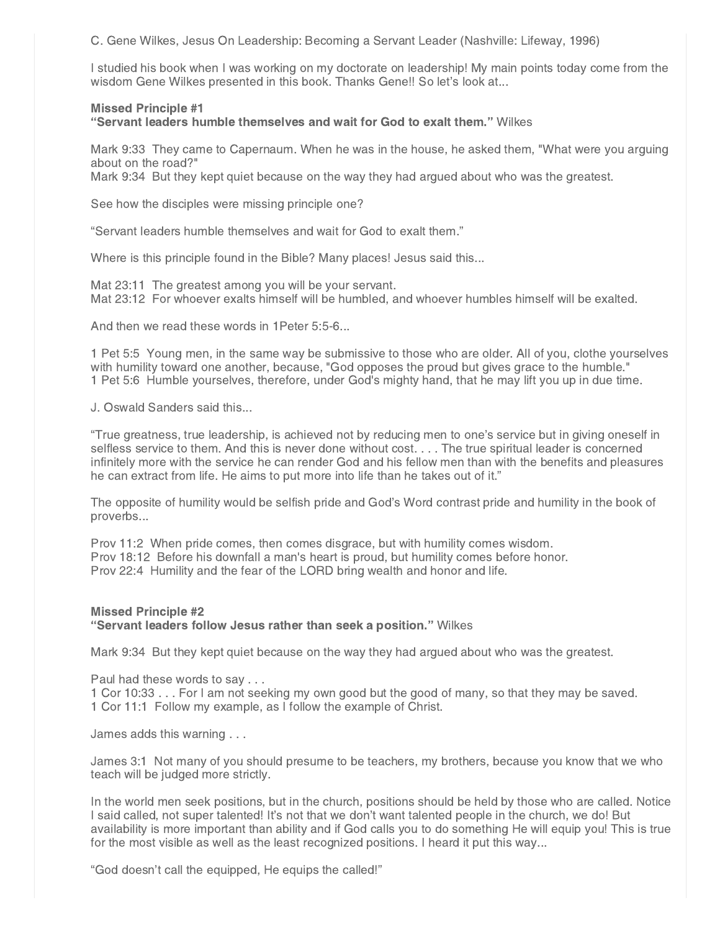C. Gene Wilkes, Jesus On Leadership: Becoming a Servant Leader (Nashville: Lifeway, 1996)

I studied his book when I was working on my doctorate on leadership! My main points today come from the wisdom Gene Wilkes presented in this book. Thanks Gene!! So let's look at...

## Missed Principle #1

"Servant leaders humble themselves and wait for God to exalt them." Wilkes

Mark 9:33 They came to Capernaum. When he was in the house, he asked them, "What were you arguing about on the road?"

Mark 9:34 But they kept quiet because on the way they had argued about who was the greatest.

See how the disciples were missing principle one?

"Servant leaders humble themselves and wait for God to exalt them."

Where is this principle found in the Bible? Many places! Jesus said this...

Mat 23:11 The greatest among you will be your servant. Mat 23:12 For whoever exalts himself will be humbled, and whoever humbles himself will be exalted.

And then we read these words in 1Peter 5:5-6...

1 Pet 5:5 Young men, in the same way be submissive to those who are older. All of you, clothe yourselves with humility toward one another, because, "God opposes the proud but gives grace to the humble." 1 Pet 5:6 Humble yourselves, therefore, under God's mighty hand, that he may lift you up in due time.

J. Oswald Sanders said this...

"True greatness, true leadership, is achieved not by reducing men to one's service but in giving oneself in selfless service to them. And this is never done without cost. . . . The true spiritual leader is concerned infinitely more with the service he can render God and his fellow men than with the benefits and pleasures he can extract from life. He aims to put more into life than he takes out of it."

The opposite of humility would be selfish pride and God's Word contrast pride and humility in the book of proverbs...

Prov 11:2 When pride comes, then comes disgrace, but with humility comes wisdom. Prov 18:12 Before his downfall a man's heart is proud, but humility comes before honor. Prov 22:4 Humility and the fear of the LORD bring wealth and honor and life.

# Missed Principle #2 "Servant leaders follow Jesus rather than seek a position." Wilkes

Mark 9:34 But they kept quiet because on the way they had argued about who was the greatest.

Paul had these words to say . . .

1 Cor 10:33 . . . For I am not seeking my own good but the good of many, so that they may be saved. 1 Cor 11:1 Follow my example, as I follow the example of Christ.

James adds this warning . . .

James 3:1 Not many of you should presume to be teachers, my brothers, because you know that we who teach will be judged more strictly.

In the world men seek positions, but in the church, positions should be held by those who are called. Notice I said called, not super talented! It's not that we don't want talented people in the church, we do! But availability is more important than ability and if God calls you to do something He will equip you! This is true for the most visible as well as the least recognized positions. I heard it put this way...

"God doesn't call the equipped, He equips the called!"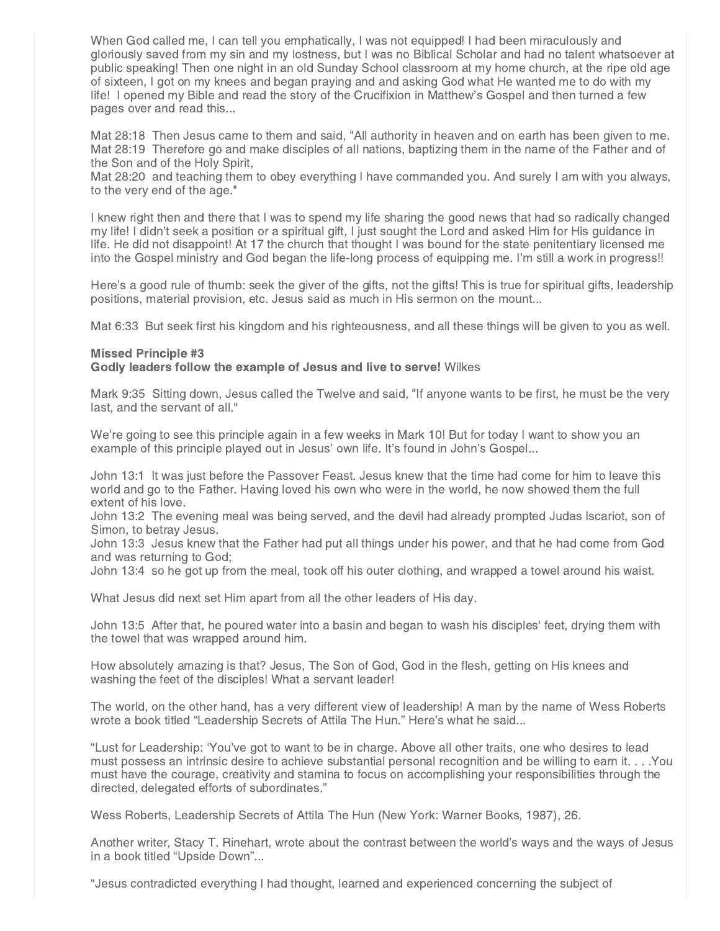When God called me, I can tell you emphatically, I was not equipped! I had been miraculously and gloriously saved from my sin and my lostness, but I was no Biblical Scholar and had no talent whatsoever at public speaking! Then one night in an old Sunday School classroom at my home church, at the ripe old age of sixteen, I got on my knees and began praying and and asking God what He wanted me to do with my life! I opened my Bible and read the story of the Crucifixion in Matthew's Gospel and then turned a few pages over and read this...

Mat 28:18 Then Jesus came to them and said, "All authority in heaven and on earth has been given to me. Mat 28:19 Therefore go and make disciples of all nations, baptizing them in the name of the Father and of the Son and of the Holy Spirit,

Mat 28:20 and teaching them to obey everything I have commanded you. And surely I am with you always, to the very end of the age."

I knew right then and there that I was to spend my life sharing the good news that had so radically changed my life! I didn't seek a position or a spiritual gift, I just sought the Lord and asked Him for His guidance in life. He did not disappoint! At 17 the church that thought I was bound for the state penitentiary licensed me into the Gospel ministry and God began the life-long process of equipping me. I'm still a work in progress!!

Here's a good rule of thumb: seek the giver of the gifts, not the gifts! This is true for spiritual gifts, leadership positions, material provision, etc. Jesus said as much in His sermon on the mount...

Mat 6:33 But seek first his kingdom and his righteousness, and all these things will be given to you as well.

#### Missed Principle #3 Godly leaders follow the example of Jesus and live to serve! Wilkes

Mark 9:35 Sitting down, Jesus called the Twelve and said, "If anyone wants to be first, he must be the very last, and the servant of all."

We're going to see this principle again in a few weeks in Mark 10! But for today I want to show you an example of this principle played out in Jesus' own life. It's found in John's Gospel...

John 13:1 It was just before the Passover Feast. Jesus knew that the time had come for him to leave this world and go to the Father. Having loved his own who were in the world, he now showed them the full extent of his love.

John 13:2 The evening meal was being served, and the devil had already prompted Judas Iscariot, son of Simon, to betray Jesus.

John 13:3 Jesus knew that the Father had put all things under his power, and that he had come from God and was returning to God;

John 13:4 so he got up from the meal, took off his outer clothing, and wrapped a towel around his waist.

What Jesus did next set Him apart from all the other leaders of His day.

John 13:5 After that, he poured water into a basin and began to wash his disciples' feet, drying them with the towel that was wrapped around him.

How absolutely amazing is that? Jesus, The Son of God, God in the flesh, getting on His knees and washing the feet of the disciples! What a servant leader!

The world, on the other hand, has a very different view of leadership! A man by the name of Wess Roberts wrote a book titled "Leadership Secrets of Attila The Hun." Here's what he said...

"Lust for Leadership: 'You've got to want to be in charge. Above all other traits, one who desires to lead must possess an intrinsic desire to achieve substantial personal recognition and be willing to earn it. . . .You must have the courage, creativity and stamina to focus on accomplishing your responsibilities through the directed, delegated efforts of subordinates."

Wess Roberts, Leadership Secrets of Attila The Hun (New York: Warner Books, 1987), 26.

Another writer, Stacy T. Rinehart, wrote about the contrast between the world's ways and the ways of Jesus in a book titled "Upside Down"...

"Jesus contradicted everything I had thought, learned and experienced concerning the subject of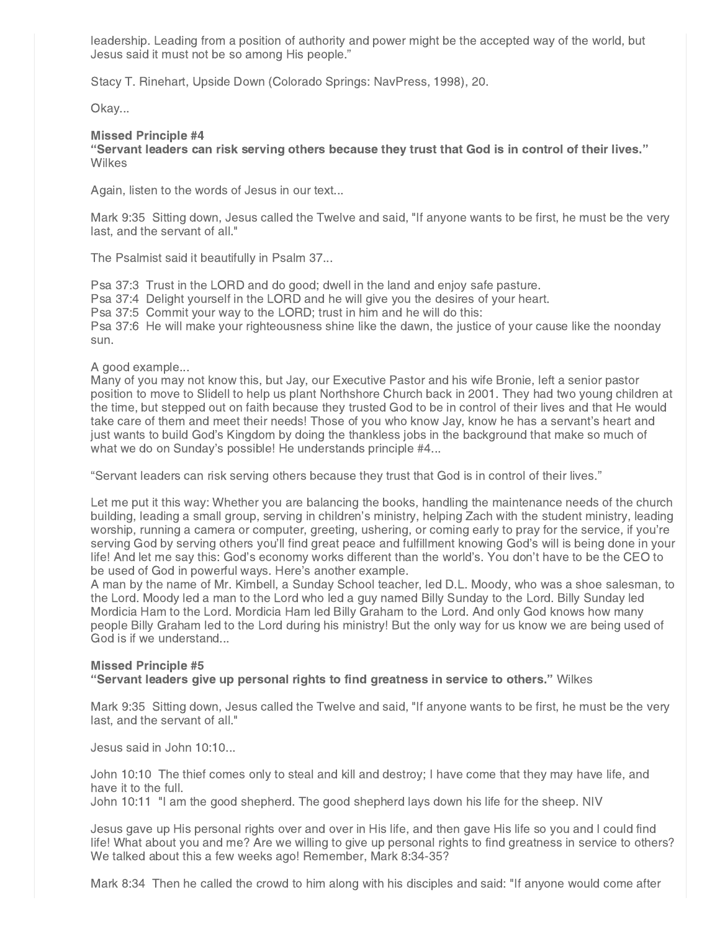leadership. Leading from a position of authority and power might be the accepted way of the world, but Jesus said it must not be so among His people."

Stacy T. Rinehart, Upside Down (Colorado Springs: NavPress, 1998), 20.

Okay...

# Missed Principle #4

"Servant leaders can risk serving others because they trust that God is in control of their lives." **Wilkes** 

Again, listen to the words of Jesus in our text...

Mark 9:35 Sitting down, Jesus called the Twelve and said, "If anyone wants to be first, he must be the very last, and the servant of all."

The Psalmist said it beautifully in Psalm 37...

Psa 37:3 Trust in the LORD and do good; dwell in the land and enjoy safe pasture. Psa 37:4 Delight yourself in the LORD and he will give you the desires of your heart. Psa 37:5 Commit your way to the LORD; trust in him and he will do this: Psa 37:6 He will make your righteousness shine like the dawn, the justice of your cause like the noonday sun.

A good example...

Many of you may not know this, but Jay, our Executive Pastor and his wife Bronie, left a senior pastor position to move to Slidell to help us plant Northshore Church back in 2001. They had two young children at the time, but stepped out on faith because they trusted God to be in control of their lives and that He would take care of them and meet their needs! Those of you who know Jay, know he has a servant's heart and just wants to build God's Kingdom by doing the thankless jobs in the background that make so much of what we do on Sunday's possible! He understands principle #4...

"Servant leaders can risk serving others because they trust that God is in control of their lives."

Let me put it this way: Whether you are balancing the books, handling the maintenance needs of the church building, leading a small group, serving in children's ministry, helping Zach with the student ministry, leading worship, running a camera or computer, greeting, ushering, or coming early to pray for the service, if you're serving God by serving others you'll find great peace and fulfillment knowing God's will is being done in your life! And let me say this: God's economy works different than the world's. You don't have to be the CEO to be used of God in powerful ways. Here's another example.

A man by the name of Mr. Kimbell, a Sunday School teacher, led D.L. Moody, who was a shoe salesman, to the Lord. Moody led a man to the Lord who led a guy named Billy Sunday to the Lord. Billy Sunday led Mordicia Ham to the Lord. Mordicia Ham led Billy Graham to the Lord. And only God knows how many people Billy Graham led to the Lord during his ministry! But the only way for us know we are being used of God is if we understand...

# Missed Principle #5 "Servant leaders give up personal rights to find greatness in service to others." Wilkes

Mark 9:35 Sitting down, Jesus called the Twelve and said, "If anyone wants to be first, he must be the very last, and the servant of all."

Jesus said in John 10:10...

John 10:10 The thief comes only to steal and kill and destroy; I have come that they may have life, and have it to the full.

John 10:11 "I am the good shepherd. The good shepherd lays down his life for the sheep. NIV

Jesus gave up His personal rights over and over in His life, and then gave His life so you and I could find life! What about you and me? Are we willing to give up personal rights to find greatness in service to others? We talked about this a few weeks ago! Remember, Mark 8:34-35?

Mark 8:34 Then he called the crowd to him along with his disciples and said: "If anyone would come after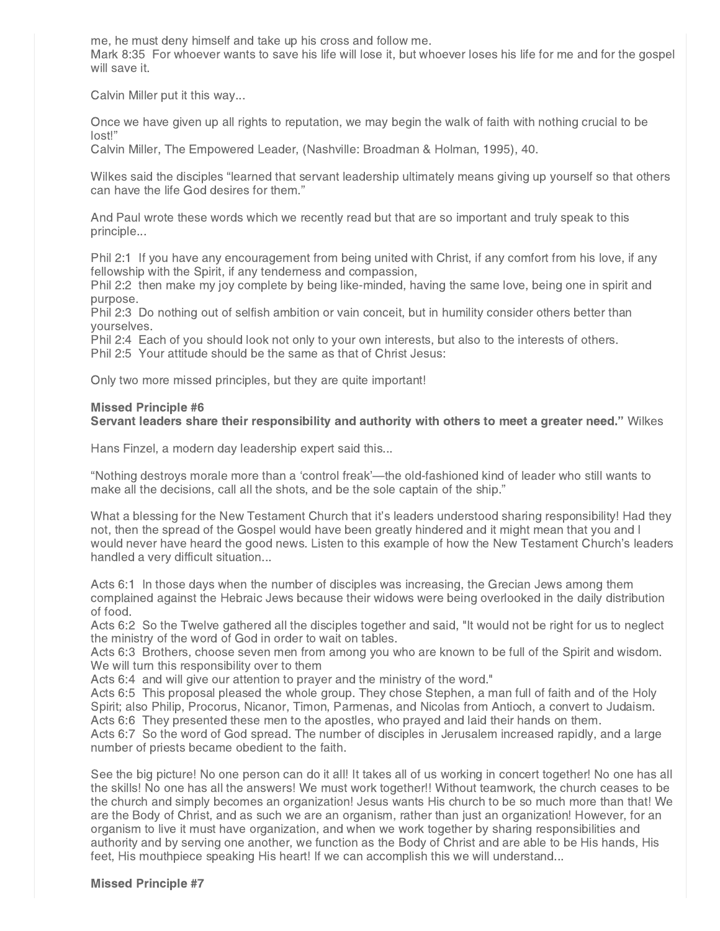me, he must deny himself and take up his cross and follow me.

Mark 8:35 For whoever wants to save his life will lose it, but whoever loses his life for me and for the gospel will save it.

Calvin Miller put it this way...

Once we have given up all rights to reputation, we may begin the walk of faith with nothing crucial to be lost!"

Calvin Miller, The Empowered Leader, (Nashville: Broadman & Holman, 1995), 40.

Wilkes said the disciples "learned that servant leadership ultimately means giving up yourself so that others can have the life God desires for them."

And Paul wrote these words which we recently read but that are so important and truly speak to this principle...

Phil 2:1 If you have any encouragement from being united with Christ, if any comfort from his love, if any fellowship with the Spirit, if any tenderness and compassion,

Phil 2:2 then make my joy complete by being like-minded, having the same love, being one in spirit and purpose.

Phil 2:3 Do nothing out of selfish ambition or vain conceit, but in humility consider others better than yourselves.

Phil 2:4 Each of you should look not only to your own interests, but also to the interests of others. Phil 2:5 Your attitude should be the same as that of Christ Jesus:

Only two more missed principles, but they are quite important!

# Missed Principle #6 Servant leaders share their responsibility and authority with others to meet a greater need." Wilkes

Hans Finzel, a modern day leadership expert said this...

"Nothing destroys morale more than a 'control freak'—the old-fashioned kind of leader who still wants to make all the decisions, call all the shots, and be the sole captain of the ship."

What a blessing for the New Testament Church that it's leaders understood sharing responsibility! Had they not, then the spread of the Gospel would have been greatly hindered and it might mean that you and I would never have heard the good news. Listen to this example of how the New Testament Church's leaders handled a very difficult situation...

Acts 6:1 In those days when the number of disciples was increasing, the Grecian Jews among them complained against the Hebraic Jews because their widows were being overlooked in the daily distribution of food.

Acts 6:2 So the Twelve gathered all the disciples together and said, "It would not be right for us to neglect the ministry of the word of God in order to wait on tables.

Acts 6:3 Brothers, choose seven men from among you who are known to be full of the Spirit and wisdom. We will turn this responsibility over to them

Acts 6:4 and will give our attention to prayer and the ministry of the word."

Acts 6:5 This proposal pleased the whole group. They chose Stephen, a man full of faith and of the Holy Spirit; also Philip, Procorus, Nicanor, Timon, Parmenas, and Nicolas from Antioch, a convert to Judaism. Acts 6:6 They presented these men to the apostles, who prayed and laid their hands on them.

Acts 6:7 So the word of God spread. The number of disciples in Jerusalem increased rapidly, and a large number of priests became obedient to the faith.

See the big picture! No one person can do it all! It takes all of us working in concert together! No one has all the skills! No one has all the answers! We must work together!! Without teamwork, the church ceases to be the church and simply becomes an organization! Jesus wants His church to be so much more than that! We are the Body of Christ, and as such we are an organism, rather than just an organization! However, for an organism to live it must have organization, and when we work together by sharing responsibilities and authority and by serving one another, we function as the Body of Christ and are able to be His hands, His feet, His mouthpiece speaking His heart! If we can accomplish this we will understand...

#### Missed Principle #7